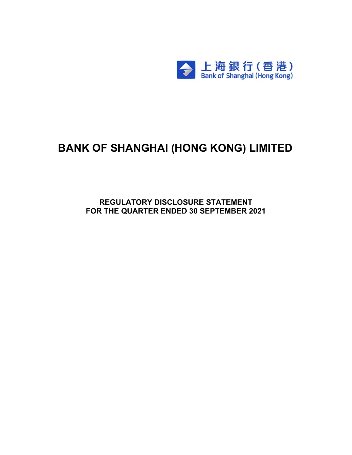

# **BANK OF SHANGHAI (HONG KONG) LIMITED**

**REGULATORY DISCLOSURE STATEMENT FOR THE QUARTER ENDED 30 SEPTEMBER 2021**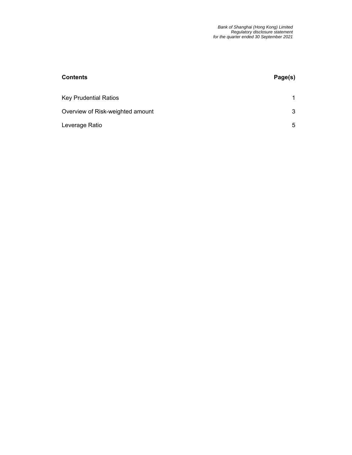| <b>Contents</b>                  | Page(s) |
|----------------------------------|---------|
| <b>Key Prudential Ratios</b>     | 1       |
| Overview of Risk-weighted amount | 3       |
| Leverage Ratio                   | 5       |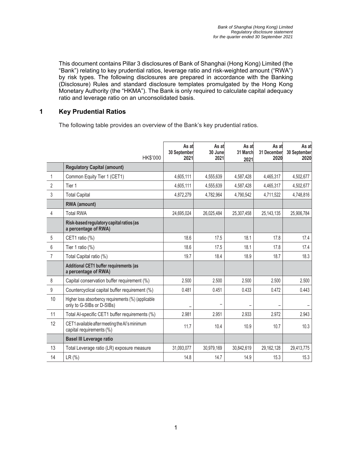This document contains Pillar 3 disclosures of Bank of Shanghai (Hong Kong) Limited (the "Bank") relating to key prudential ratios, leverage ratio and risk-weighted amount ("RWA") by risk types. The following disclosures are prepared in accordance with the Banking (Disclosure) Rules and standard disclosure templates promulgated by the Hong Kong Monetary Authority (the "HKMA"). The Bank is only required to calculate capital adequacy ratio and leverage ratio on an unconsolidated basis.

#### **1 Key Prudential Ratios**

The following table provides an overview of the Bank's key prudential ratios.

|                | HK\$'000                                                                         | As at<br>30 September<br>2021 | As at<br>30 June<br>2021 | As at<br>31 March<br>2021 | As at<br>31 December<br>2020 | As at<br>30 September<br>2020 |
|----------------|----------------------------------------------------------------------------------|-------------------------------|--------------------------|---------------------------|------------------------------|-------------------------------|
|                | <b>Regulatory Capital (amount)</b>                                               |                               |                          |                           |                              |                               |
| $\mathbf{1}$   | Common Equity Tier 1 (CET1)                                                      | 4,605,111                     | 4,555,639                | 4,587,428                 | 4,465,317                    | 4,502,677                     |
| 2              | Tier 1                                                                           | 4,605,111                     | 4,555,639                | 4,587,428                 | 4,465,317                    | 4,502,677                     |
| 3              | <b>Total Capital</b>                                                             | 4,872,279                     | 4,782,964                | 4,790,542                 | 4,711,522                    | 4,748,816                     |
|                | <b>RWA</b> (amount)                                                              |                               |                          |                           |                              |                               |
| 4              | <b>Total RWA</b>                                                                 | 24,695,024                    | 26,025,484               | 25,307,458                | 25, 143, 135                 | 25,906,784                    |
|                | Risk-based regulatory capital ratios (as<br>a percentage of RWA)                 |                               |                          |                           |                              |                               |
| 5              | CET1 ratio (%)                                                                   | 18.6                          | 17.5                     | 18.1                      | 17.8                         | 17.4                          |
| 6              | Tier 1 ratio (%)                                                                 | 18.6                          | 17.5                     | 18.1                      | 17.8                         | 17.4                          |
| $\overline{7}$ | Total Capital ratio (%)                                                          | 19.7                          | 18.4                     | 18.9                      | 18.7                         | 18.3                          |
|                | Additional CET1 buffer requirements (as<br>a percentage of RWA)                  |                               |                          |                           |                              |                               |
| 8              | Capital conservation buffer requirement (%)                                      | 2.500                         | 2.500                    | 2.500                     | 2.500                        | 2.500                         |
| $9\,$          | Countercyclical capital buffer requirement (%)                                   | 0.481                         | 0.451                    | 0.433                     | 0.472                        | 0.443                         |
| 10             | Higher loss absorbency requirements (%) (applicable<br>only to G-SIBs or D-SIBs) |                               |                          |                           |                              |                               |
| 11             | Total Al-specific CET1 buffer requirements (%)                                   | 2.981                         | 2.951                    | 2.933                     | 2.972                        | 2.943                         |
| 12             | CET1 available after meeting the AI's minimum<br>capital requirements (%)        | 11.7                          | 10.4                     | 10.9                      | 10.7                         | 10.3                          |
|                | <b>Basel III Leverage ratio</b>                                                  |                               |                          |                           |                              |                               |
| 13             | Total Leverage ratio (LR) exposure measure                                       | 31,093,077                    | 30,979,169               | 30,842,619                | 29,162,128                   | 29,413,775                    |
| 14             | LR (%)                                                                           | 14.8                          | 14.7                     | 14.9                      | 15.3                         | 15.3                          |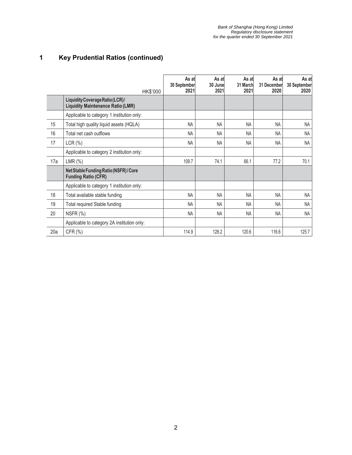## **1 Key Prudential Ratios (continued)**

|     | HK\$'000                                                                    | As at<br>30 September<br>2021 | As at<br>30 June<br>2021 | As at<br>31 March<br>2021 | As at<br>31 December<br>2020 | As at<br>30 September<br>2020 |
|-----|-----------------------------------------------------------------------------|-------------------------------|--------------------------|---------------------------|------------------------------|-------------------------------|
|     | Liquidity Coverage Ratio (LCR)/<br><b>Liquidity Maintenance Ratio (LMR)</b> |                               |                          |                           |                              |                               |
|     | Applicable to category 1 institution only:                                  |                               |                          |                           |                              |                               |
| 15  | Total high quality liquid assets (HQLA)                                     | <b>NA</b>                     | <b>NA</b>                | <b>NA</b>                 | <b>NA</b>                    | NA                            |
| 16  | Total net cash outflows                                                     | <b>NA</b>                     | <b>NA</b>                | <b>NA</b>                 | <b>NA</b>                    | <b>NA</b>                     |
| 17  | LCR(%)                                                                      | <b>NA</b>                     | <b>NA</b>                | <b>NA</b>                 | <b>NA</b>                    | <b>NA</b>                     |
|     | Applicable to category 2 institution only:                                  |                               |                          |                           |                              |                               |
| 17a | $LMR$ $(\%)$                                                                | 109.7                         | 74.1                     | 66.1                      | 77.2                         | 70.1                          |
|     | Net Stable Funding Ratio (NSFR) / Core<br><b>Funding Ratio (CFR)</b>        |                               |                          |                           |                              |                               |
|     | Applicable to category 1 institution only:                                  |                               |                          |                           |                              |                               |
| 18  | Total available stable funding                                              | <b>NA</b>                     | <b>NA</b>                | NA                        | <b>NA</b>                    | <b>NA</b>                     |
| 19  | Total required Stable funding                                               | <b>NA</b>                     | <b>NA</b>                | <b>NA</b>                 | <b>NA</b>                    | <b>NA</b>                     |
| 20  | NSFR (%)                                                                    | <b>NA</b>                     | NA                       | NA                        | <b>NA</b>                    | <b>NA</b>                     |
|     | Applicable to category 2A institution only:                                 |                               |                          |                           |                              |                               |
| 20a | CFR (%)                                                                     | 114.9                         | 128.2                    | 120.6                     | 116.6                        | 125.7                         |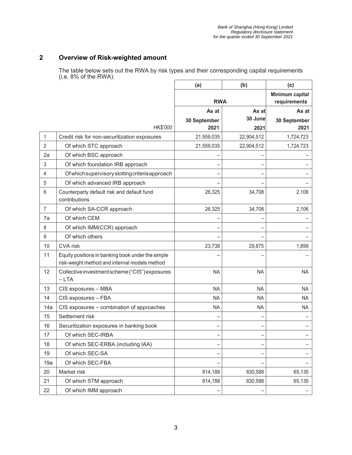### **2 Overview of Risk-weighted amount**

The table below sets out the RWA by risk types and their corresponding capital requirements (i.e. 8% of the RWA):

|                |                                                                                                    | (a)          | (b)                             | (c)          |
|----------------|----------------------------------------------------------------------------------------------------|--------------|---------------------------------|--------------|
|                |                                                                                                    | <b>RWA</b>   | Minimum capital<br>requirements |              |
|                |                                                                                                    | As at        | As at                           | As at        |
|                |                                                                                                    | 30 September | 30 June                         | 30 September |
|                | HK\$'000                                                                                           | 2021         | 2021                            | 2021         |
| 1              | Credit risk for non-securitization exposures                                                       | 21,559,035   | 22,904,512                      | 1,724,723    |
| $\overline{2}$ | Of which STC approach                                                                              | 21,559,035   | 22,904,512                      | 1,724,723    |
| 2a             | Of which BSC approach                                                                              |              |                                 |              |
| 3              | Of which foundation IRB approach                                                                   |              |                                 |              |
| 4              | Of which supervisory slotting criteria approach                                                    |              |                                 |              |
| 5              | Of which advanced IRB approach                                                                     |              |                                 |              |
| 6              | Counterparty default risk and default fund<br>contributions                                        | 26,325       | 34,708                          | 2,106        |
| $\overline{7}$ | Of which SA-CCR approach                                                                           | 26,325       | 34,708                          | 2,106        |
| 7a             | Of which CEM                                                                                       |              |                                 |              |
| 8              | Of which IMM(CCR) approach                                                                         |              |                                 |              |
| $9\,$          | Of which others                                                                                    |              |                                 |              |
| 10             | CVA risk                                                                                           | 23,738       | 29,875                          | 1,899        |
| 11             | Equity positions in banking book under the simple<br>risk-weight method and internal models method |              |                                 |              |
| 12             | Collective investment scheme ("CIS") exposures<br>$-LTA$                                           | <b>NA</b>    | <b>NA</b>                       | <b>NA</b>    |
| 13             | CIS exposures - MBA                                                                                | <b>NA</b>    | <b>NA</b>                       | <b>NA</b>    |
| 14             | CIS exposures - FBA                                                                                | <b>NA</b>    | <b>NA</b>                       | <b>NA</b>    |
| 14a            | CIS exposures - combination of approaches                                                          | <b>NA</b>    | <b>NA</b>                       | <b>NA</b>    |
| 15             | Settlement risk                                                                                    |              |                                 |              |
| 16             | Securitization exposures in banking book                                                           |              |                                 |              |
| 17             | Of which SEC-IRBA                                                                                  |              |                                 |              |
| 18             | Of which SEC-ERBA (including IAA)                                                                  |              |                                 |              |
| 19             | Of which SEC-SA                                                                                    |              |                                 |              |
| 19a            | Of which SEC-FBA                                                                                   |              |                                 |              |
| 20             | Market risk                                                                                        | 814,188      | 830,588                         | 65,135       |
| 21             | Of which STM approach                                                                              | 814,188      | 830,588                         | 65,135       |
| 22             | Of which IMM approach                                                                              |              |                                 |              |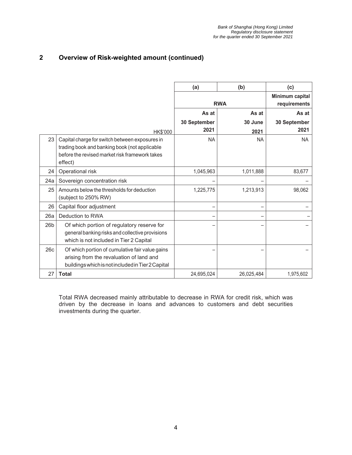### **2 Overview of Risk-weighted amount (continued)**

|                 |                                                                                                                                                              | (a)          | (b)        | (c)                             |
|-----------------|--------------------------------------------------------------------------------------------------------------------------------------------------------------|--------------|------------|---------------------------------|
|                 |                                                                                                                                                              | <b>RWA</b>   |            | Minimum capital<br>requirements |
|                 |                                                                                                                                                              | As at        | As at      | As at                           |
|                 |                                                                                                                                                              | 30 September | 30 June    | 30 September                    |
|                 | HK\$'000                                                                                                                                                     | 2021         | 2021       | 2021                            |
| 23              | Capital charge for switch between exposures in<br>trading book and banking book (not applicable<br>before the revised market risk framework takes<br>effect) | <b>NA</b>    | <b>NA</b>  | NA.                             |
| 24              | Operational risk                                                                                                                                             | 1,045,963    | 1,011,888  | 83,677                          |
| 24a             | Sovereign concentration risk                                                                                                                                 |              |            |                                 |
| 25              | Amounts below the thresholds for deduction<br>(subject to 250% RW)                                                                                           | 1,225,775    | 1,213,913  | 98,062                          |
| 26              | Capital floor adjustment                                                                                                                                     |              |            |                                 |
| 26a             | Deduction to RWA                                                                                                                                             |              |            |                                 |
| 26 <sub>b</sub> | Of which portion of regulatory reserve for<br>general banking risks and collective provisions<br>which is not included in Tier 2 Capital                     |              |            |                                 |
| 26c             | Of which portion of cumulative fair value gains<br>arising from the revaluation of land and<br>buildings which is not included in Tier 2 Capital             |              |            |                                 |
| 27              | <b>Total</b>                                                                                                                                                 | 24,695,024   | 26,025,484 | 1,975,602                       |

Total RWA decreased mainly attributable to decrease in RWA for credit risk, which was driven by the decrease in loans and advances to customers and debt securities investments during the quarter.